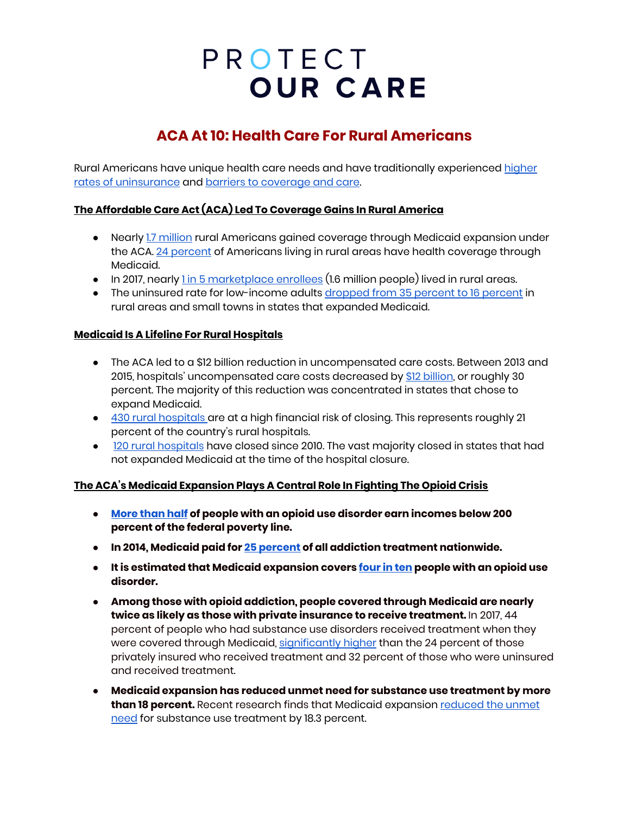# PROTECT **OUR CARE**

### **ACA At 10: Health Care For Rural Americans**

Rural Americans have unique health care needs and have traditionally experienced [higher](https://www.census.gov/content/dam/Census/library/publications/2019/demo/p60-267.pdf) rates of [uninsurance](https://www.census.gov/content/dam/Census/library/publications/2019/demo/p60-267.pdf) and barriers to [coverage](https://www.kff.org/uninsured/issue-brief/the-affordable-care-act-and-insurance-coverage-in-rural-areas/) and care.

#### **The Affordable Care Act (ACA) Led To Coverage Gains In Rural America**

- Nearly 1.7 [million](https://www.cbpp.org/research/health/affordable-care-acts-medicaid-expansion-benefits-hospitals-particularly-in-rural#_ftn5) rural Americans gained coverage through Medicaid expansion under the ACA. 24 [percent](https://www.kff.org/report-section/the-role-of-medicaid-in-rural-america-appendix/) of Americans living in rural areas have health coverage through Medicaid.
- $\bullet$  In 2017, nearly <u>1 in 5 [marketplace](https://www.cbpp.org/research/health/senate-bill-would-devastate-health-care-in-rural-america#_ftn18) enrollees</u> (1.6 million people) lived in rural areas.
- The uninsured rate for low-income adults [dropped](https://ccf.georgetown.edu/wp-content/uploads/2018/09/FINALHealthInsuranceCoverage_Rural_2018.pdf) from 35 percent to 16 percent in rural areas and small towns in states that expanded Medicaid.

#### **Medicaid Is A Lifeline For Rural Hospitals**

- The ACA led to a \$12 billion reduction in uncompensated care costs. Between 2013 and 2015, hospitals' uncompensated care costs decreased by \$12 [billion](https://www.cbpp.org/research/health/uncompensated-care-costs-fell-in-nearly-every-state-as-acas-major-coverage), or roughly 30 percent. The majority of this reduction was concentrated in states that chose to expand Medicaid.
- 430 rural [hospitals](https://www.navigant.com/-/media/www/site/insights/healthcare/2019/navigant-rural-hospital-analysis-22019.pdf) are at a high financial risk of closing. This represents roughly 21 percent of the country's rural hospitals.
- 120 rural [hospitals](https://www.shepscenter.unc.edu/programs-projects/rural-health/rural-hospital-closures/) have closed since 2010. The vast majority closed in states that had not expanded Medicaid at the time of the hospital closure.

### **The ACA's Medicaid Expansion Plays A Central Role In Fighting The Opioid Crisis**

- **● [More](http://www.commonwealthfund.org/publications/blog/2017/jul/medicaid-helps-expand-lifesaving-naloxone) than half of people with an opioid use disorder earn incomes below 200 percent of the federal poverty line.**
- **● In 2014, Medicaid paid for 25 [percent](https://www.vox.com/policy-and-politics/2018/2/13/17004656/trump-budget-opioid-epidemic) of all addiction treatment nationwide.**
- **● It is estimated that Medicaid expansion covers [four](https://www.kff.org/infographic/medicaids-role-in-addressing-opioid-epidemic/) in ten people with an opioid use disorder.**
- **Among those with opioid addiction, people covered through Medicaid are nearly twice as likely as those with private insurance to receive treatment.** In 2017, 44 percent of people who had substance use disorders received treatment when they were covered through Medicaid, [significantly](https://www.kff.org/medicaid/issue-brief/the-opioid-epidemic-and-medicaids-role-in-facilitating-access-to-treatment/) higher than the 24 percent of those privately insured who received treatment and 32 percent of those who were uninsured and received treatment.
- **Medicaid expansion has reduced unmet need for substance use treatment by more than 18 percent.** Recent research finds that Medicaid expansion [reduced](https://www.cbpp.org/research/health/medicaid-expansion-dramatically-increased-coverage-for-people-with-opioid-use) the unmet [need](https://www.cbpp.org/research/health/medicaid-expansion-dramatically-increased-coverage-for-people-with-opioid-use) for substance use treatment by 18.3 percent.